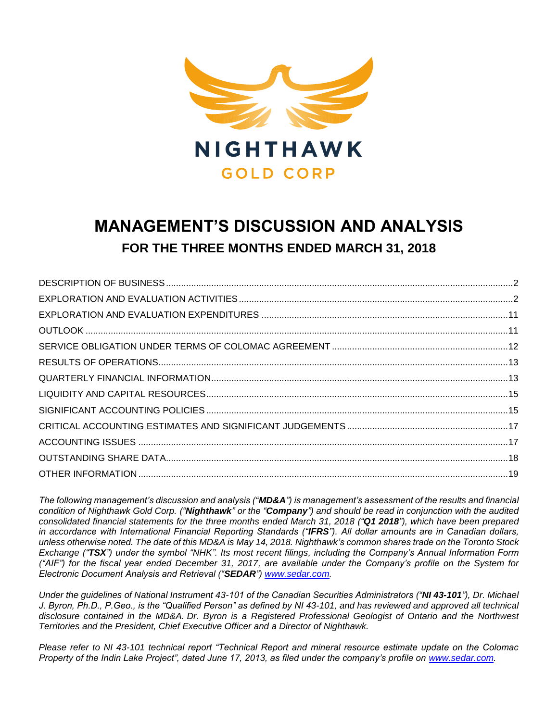

# **MANAGEMENT'S DISCUSSION AND ANALYSIS FOR THE THREE MONTHS ENDED MARCH 31, 2018**

*The following management's discussion and analysis ("MD&A") is management's assessment of the results and financial condition of Nighthawk Gold Corp. ("Nighthawk" or the "Company") and should be read in conjunction with the audited consolidated financial statements for the three months ended March 31, 2018 ("Q1 2018"), which have been prepared in accordance with International Financial Reporting Standards ("IFRS"). All dollar amounts are in Canadian dollars, unless otherwise noted. The date of this MD&A is May 14, 2018. Nighthawk's common shares trade on the Toronto Stock Exchange ("TSX") under the symbol "NHK". Its most recent filings, including the Company's Annual Information Form ("AIF") for the fiscal year ended December 31, 2017, are available under the Company's profile on the System for Electronic Document Analysis and Retrieval ("SEDAR") [www.sedar.com.](http://www.sedar.com/)*

*Under the guidelines of National Instrument 43-101 of the Canadian Securities Administrators ("NI 43-101"), Dr. Michael J. Byron, Ph.D., P.Geo., is the "Qualified Person" as defined by NI 43-101, and has reviewed and approved all technical disclosure contained in the MD&A. Dr. Byron is a Registered Professional Geologist of Ontario and the Northwest Territories and the President, Chief Executive Officer and a Director of Nighthawk.*

*Please refer to NI 43-101 technical report "Technical Report and mineral resource estimate update on the Colomac Property of the Indin Lake Project", dated June 17, 2013, as filed under the company's profile on [www.sedar.com.](http://www.sedar.com/)*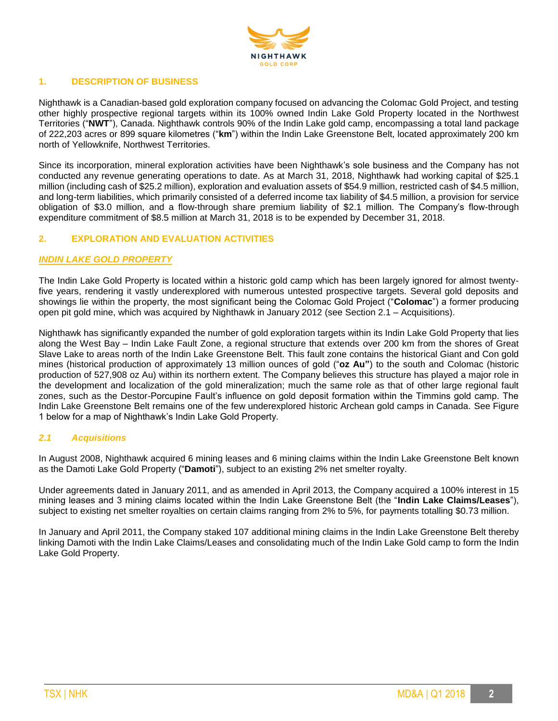

## **1. DESCRIPTION OF BUSINESS**

Nighthawk is a Canadian-based gold exploration company focused on advancing the Colomac Gold Project, and testing other highly prospective regional targets within its 100% owned Indin Lake Gold Property located in the Northwest Territories ("**NWT**"), Canada. Nighthawk controls 90% of the Indin Lake gold camp, encompassing a total land package of 222,203 acres or 899 square kilometres ("**km**") within the Indin Lake Greenstone Belt, located approximately 200 km north of Yellowknife, Northwest Territories.

Since its incorporation, mineral exploration activities have been Nighthawk's sole business and the Company has not conducted any revenue generating operations to date. As at March 31, 2018, Nighthawk had working capital of \$25.1 million (including cash of \$25.2 million), exploration and evaluation assets of \$54.9 million, restricted cash of \$4.5 million, and long-term liabilities, which primarily consisted of a deferred income tax liability of \$4.5 million, a provision for service obligation of \$3.0 million, and a flow-through share premium liability of \$2.1 million. The Company's flow-through expenditure commitment of \$8.5 million at March 31, 2018 is to be expended by December 31, 2018.

# **2. EXPLORATION AND EVALUATION ACTIVITIES**

#### *INDIN LAKE GOLD PROPERTY*

The Indin Lake Gold Property is located within a historic gold camp which has been largely ignored for almost twentyfive years, rendering it vastly underexplored with numerous untested prospective targets. Several gold deposits and showings lie within the property, the most significant being the Colomac Gold Project ("**Colomac**") a former producing open pit gold mine, which was acquired by Nighthawk in January 2012 (see Section 2.1 – Acquisitions).

Nighthawk has significantly expanded the number of gold exploration targets within its Indin Lake Gold Property that lies along the West Bay – Indin Lake Fault Zone, a regional structure that extends over 200 km from the shores of Great Slave Lake to areas north of the Indin Lake Greenstone Belt. This fault zone contains the historical Giant and Con gold mines (historical production of approximately 13 million ounces of gold ("**oz Au"**) to the south and Colomac (historic production of 527,908 oz Au) within its northern extent. The Company believes this structure has played a major role in the development and localization of the gold mineralization; much the same role as that of other large regional fault zones, such as the Destor-Porcupine Fault's influence on gold deposit formation within the Timmins gold camp. The Indin Lake Greenstone Belt remains one of the few underexplored historic Archean gold camps in Canada. See Figure 1 below for a map of Nighthawk's Indin Lake Gold Property.

#### *2.1 Acquisitions*

In August 2008, Nighthawk acquired 6 mining leases and 6 mining claims within the Indin Lake Greenstone Belt known as the Damoti Lake Gold Property ("**Damoti**"), subject to an existing 2% net smelter royalty.

Under agreements dated in January 2011, and as amended in April 2013, the Company acquired a 100% interest in 15 mining leases and 3 mining claims located within the Indin Lake Greenstone Belt (the "**Indin Lake Claims/Leases**"), subject to existing net smelter royalties on certain claims ranging from 2% to 5%, for payments totalling \$0.73 million.

In January and April 2011, the Company staked 107 additional mining claims in the Indin Lake Greenstone Belt thereby linking Damoti with the Indin Lake Claims/Leases and consolidating much of the Indin Lake Gold camp to form the Indin Lake Gold Property.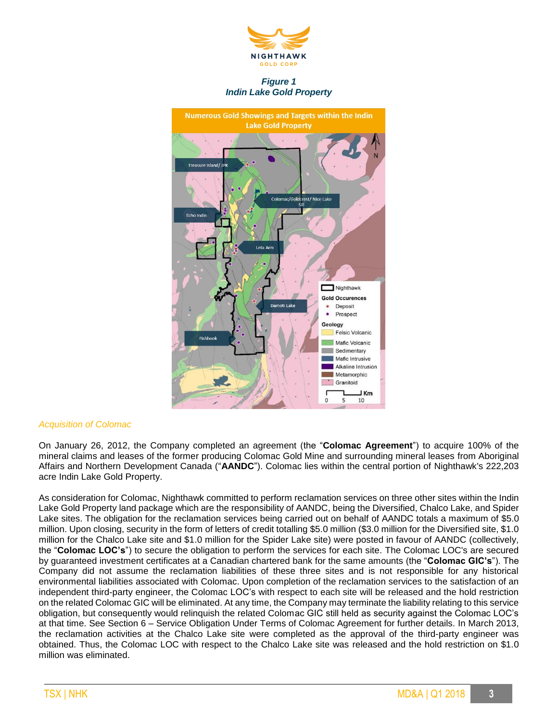

*Figure 1 Indin Lake Gold Property*



#### *Acquisition of Colomac*

On January 26, 2012, the Company completed an agreement (the "**Colomac Agreement**") to acquire 100% of the mineral claims and leases of the former producing Colomac Gold Mine and surrounding mineral leases from Aboriginal Affairs and Northern Development Canada ("**AANDC**"). Colomac lies within the central portion of Nighthawk's 222,203 acre Indin Lake Gold Property.

As consideration for Colomac, Nighthawk committed to perform reclamation services on three other sites within the Indin Lake Gold Property land package which are the responsibility of AANDC, being the Diversified, Chalco Lake, and Spider Lake sites. The obligation for the reclamation services being carried out on behalf of AANDC totals a maximum of \$5.0 million. Upon closing, security in the form of letters of credit totalling \$5.0 million (\$3.0 million for the Diversified site, \$1.0 million for the Chalco Lake site and \$1.0 million for the Spider Lake site) were posted in favour of AANDC (collectively, the "**Colomac LOC's**") to secure the obligation to perform the services for each site. The Colomac LOC's are secured by guaranteed investment certificates at a Canadian chartered bank for the same amounts (the "**Colomac GIC's**"). The Company did not assume the reclamation liabilities of these three sites and is not responsible for any historical environmental liabilities associated with Colomac. Upon completion of the reclamation services to the satisfaction of an independent third-party engineer, the Colomac LOC's with respect to each site will be released and the hold restriction on the related Colomac GIC will be eliminated. At any time, the Company may terminate the liability relating to this service obligation, but consequently would relinquish the related Colomac GIC still held as security against the Colomac LOC's at that time. See Section 6 – Service Obligation Under Terms of Colomac Agreement for further details. In March 2013, the reclamation activities at the Chalco Lake site were completed as the approval of the third-party engineer was obtained. Thus, the Colomac LOC with respect to the Chalco Lake site was released and the hold restriction on \$1.0 million was eliminated.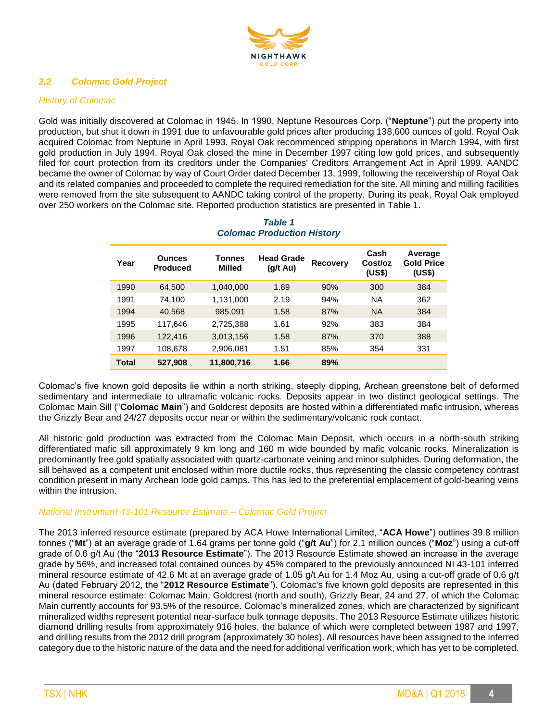

# *2.2 Colomac Gold Project*

# *History of Colomac*

Gold was initially discovered at Colomac in 1945. In 1990, Neptune Resources Corp. ("**Neptune**") put the property into production, but shut it down in 1991 due to unfavourable gold prices after producing 138,600 ounces of gold. Royal Oak acquired Colomac from Neptune in April 1993. Royal Oak recommenced stripping operations in March 1994, with first gold production in July 1994. Royal Oak closed the mine in December 1997 citing low gold prices, and subsequently filed for court protection from its creditors under the Companies' Creditors Arrangement Act in April 1999. AANDC became the owner of Colomac by way of Court Order dated December 13, 1999, following the receivership of Royal Oak and its related companies and proceeded to complete the required remediation for the site. All mining and milling facilities were removed from the site subsequent to AANDC taking control of the property. During its peak, Royal Oak employed over 250 workers on the Colomac site. Reported production statistics are presented in Table 1.

| Year  | <b>Ounces</b><br><b>Produced</b> | Tonnes<br>Milled | <b>Head Grade</b><br>(g/t Au) | <b>Recovery</b> | Cash<br>Cost/oz<br>(US\$) | Average<br><b>Gold Price</b><br>(US\$) |
|-------|----------------------------------|------------------|-------------------------------|-----------------|---------------------------|----------------------------------------|
| 1990  | 64,500                           | 1,040,000        | 1.89                          | 90%             | 300                       | 384                                    |
| 1991  | 74.100                           | 1,131,000        | 2.19                          | 94%             | <b>NA</b>                 | 362                                    |
| 1994  | 40,568                           | 985,091          | 1.58                          | 87%             | <b>NA</b>                 | 384                                    |
| 1995  | 117,646                          | 2,725,388        | 1.61                          | 92%             | 383                       | 384                                    |
| 1996  | 122,416                          | 3,013,156        | 1.58                          | 87%             | 370                       | 388                                    |
| 1997  | 108,678                          | 2,906,081        | 1.51                          | 85%             | 354                       | 331                                    |
| Total | 527,908                          | 11,800,716       | 1.66                          | 89%             |                           |                                        |

# *Table 1 Colomac Production History*

Colomac's five known gold deposits lie within a north striking, steeply dipping, Archean greenstone belt of deformed sedimentary and intermediate to ultramafic volcanic rocks. Deposits appear in two distinct geological settings. The Colomac Main Sill ("**Colomac Main**") and Goldcrest deposits are hosted within a differentiated mafic intrusion, whereas the Grizzly Bear and 24/27 deposits occur near or within the sedimentary/volcanic rock contact.

All historic gold production was extracted from the Colomac Main Deposit, which occurs in a north-south striking differentiated mafic sill approximately 9 km long and 160 m wide bounded by mafic volcanic rocks. Mineralization is predominantly free gold spatially associated with quartz-carbonate veining and minor sulphides. During deformation, the sill behaved as a competent unit enclosed within more ductile rocks, thus representing the classic competency contrast condition present in many Archean lode gold camps. This has led to the preferential emplacement of gold-bearing veins within the intrusion.

#### *National Instrument 43-101 Resource Estimate – Colomac Gold Project*

The 2013 inferred resource estimate (prepared by ACA Howe International Limited, "**ACA Howe**") outlines 39.8 million tonnes ("**Mt**") at an average grade of 1.64 grams per tonne gold ("**g/t Au**") for 2.1 million ounces ("**Moz**") using a cut-off grade of 0.6 g/t Au (the "**2013 Resource Estimate**"). The 2013 Resource Estimate showed an increase in the average grade by 56%, and increased total contained ounces by 45% compared to the previously announced NI 43-101 inferred mineral resource estimate of 42.6 Mt at an average grade of 1.05 g/t Au for 1.4 Moz Au, using a cut-off grade of 0.6 g/t Au (dated February 2012, the "**2012 Resource Estimate**"). Colomac's five known gold deposits are represented in this mineral resource estimate: Colomac Main, Goldcrest (north and south), Grizzly Bear, 24 and 27, of which the Colomac Main currently accounts for 93.5% of the resource. Colomac's mineralized zones, which are characterized by significant mineralized widths represent potential near-surface bulk tonnage deposits. The 2013 Resource Estimate utilizes historic diamond drilling results from approximately 916 holes, the balance of which were completed between 1987 and 1997, and drilling results from the 2012 drill program (approximately 30 holes). All resources have been assigned to the inferred category due to the historic nature of the data and the need for additional verification work, which has yet to be completed.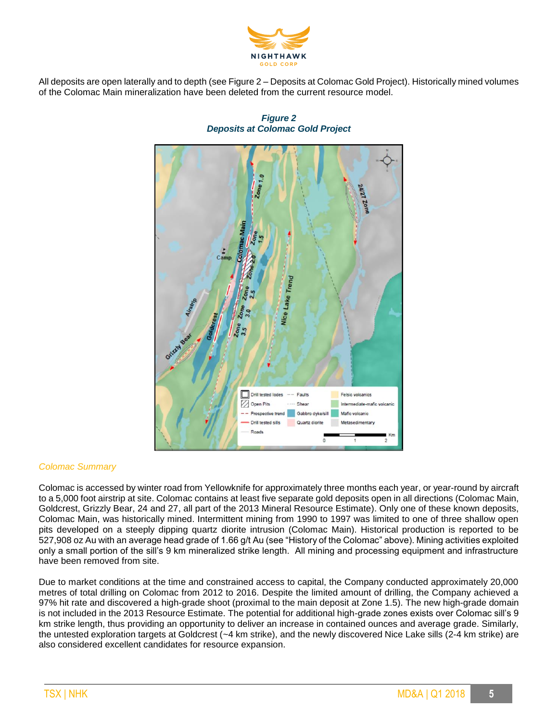

All deposits are open laterally and to depth (see Figure 2 – Deposits at Colomac Gold Project). Historically mined volumes of the Colomac Main mineralization have been deleted from the current resource model.



# *Figure 2 Deposits at Colomac Gold Project*

# *Colomac Summary*

Colomac is accessed by winter road from Yellowknife for approximately three months each year, or year-round by aircraft to a 5,000 foot airstrip at site. Colomac contains at least five separate gold deposits open in all directions (Colomac Main, Goldcrest, Grizzly Bear, 24 and 27, all part of the 2013 Mineral Resource Estimate). Only one of these known deposits, Colomac Main, was historically mined. Intermittent mining from 1990 to 1997 was limited to one of three shallow open pits developed on a steeply dipping quartz diorite intrusion (Colomac Main). Historical production is reported to be 527,908 oz Au with an average head grade of 1.66 g/t Au (see "History of the Colomac" above). Mining activities exploited only a small portion of the sill's 9 km mineralized strike length. All mining and processing equipment and infrastructure have been removed from site.

Due to market conditions at the time and constrained access to capital, the Company conducted approximately 20,000 metres of total drilling on Colomac from 2012 to 2016. Despite the limited amount of drilling, the Company achieved a 97% hit rate and discovered a high-grade shoot (proximal to the main deposit at Zone 1.5). The new high-grade domain is not included in the 2013 Resource Estimate. The potential for additional high-grade zones exists over Colomac sill's 9 km strike length, thus providing an opportunity to deliver an increase in contained ounces and average grade. Similarly, the untested exploration targets at Goldcrest (~4 km strike), and the newly discovered Nice Lake sills (2-4 km strike) are also considered excellent candidates for resource expansion.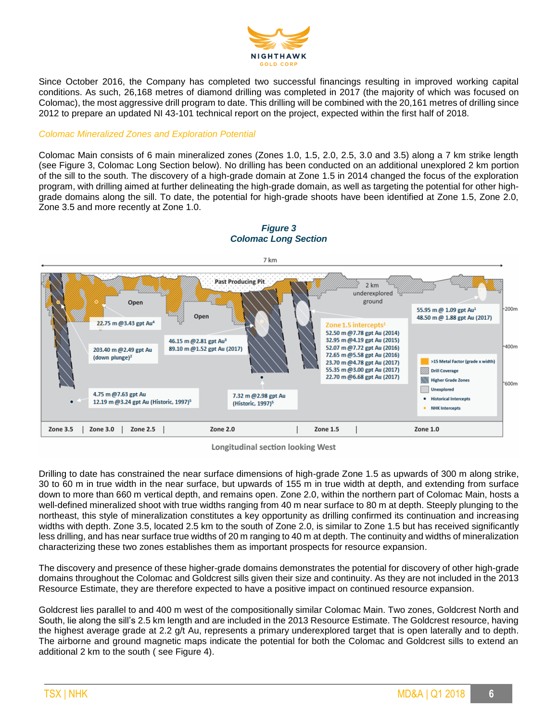

Since October 2016, the Company has completed two successful financings resulting in improved working capital conditions. As such, 26,168 metres of diamond drilling was completed in 2017 (the majority of which was focused on Colomac), the most aggressive drill program to date. This drilling will be combined with the 20,161 metres of drilling since 2012 to prepare an updated NI 43-101 technical report on the project, expected within the first half of 2018.

#### *Colomac Mineralized Zones and Exploration Potential*

Colomac Main consists of 6 main mineralized zones (Zones 1.0, 1.5, 2.0, 2.5, 3.0 and 3.5) along a 7 km strike length (see Figure 3, Colomac Long Section below). No drilling has been conducted on an additional unexplored 2 km portion of the sill to the south. The discovery of a high-grade domain at Zone 1.5 in 2014 changed the focus of the exploration program, with drilling aimed at further delineating the high-grade domain, as well as targeting the potential for other highgrade domains along the sill. To date, the potential for high-grade shoots have been identified at Zone 1.5, Zone 2.0, Zone 3.5 and more recently at Zone 1.0.



# *Figure 3 Colomac Long Section*

Longitudinal section looking West

Drilling to date has constrained the near surface dimensions of high-grade Zone 1.5 as upwards of 300 m along strike, 30 to 60 m in true width in the near surface, but upwards of 155 m in true width at depth, and extending from surface down to more than 660 m vertical depth, and remains open. Zone 2.0, within the northern part of Colomac Main, hosts a well-defined mineralized shoot with true widths ranging from 40 m near surface to 80 m at depth. Steeply plunging to the northeast, this style of mineralization constitutes a key opportunity as drilling confirmed its continuation and increasing widths with depth. Zone 3.5, located 2.5 km to the south of Zone 2.0, is similar to Zone 1.5 but has received significantly less drilling, and has near surface true widths of 20 m ranging to 40 m at depth. The continuity and widths of mineralization characterizing these two zones establishes them as important prospects for resource expansion.

The discovery and presence of these higher-grade domains demonstrates the potential for discovery of other high-grade domains throughout the Colomac and Goldcrest sills given their size and continuity. As they are not included in the 2013 Resource Estimate, they are therefore expected to have a positive impact on continued resource expansion.

Goldcrest lies parallel to and 400 m west of the compositionally similar Colomac Main. Two zones, Goldcrest North and South, lie along the sill's 2.5 km length and are included in the 2013 Resource Estimate. The Goldcrest resource, having the highest average grade at 2.2 g/t Au, represents a primary underexplored target that is open laterally and to depth. The airborne and ground magnetic maps indicate the potential for both the Colomac and Goldcrest sills to extend an additional 2 km to the south ( see Figure 4).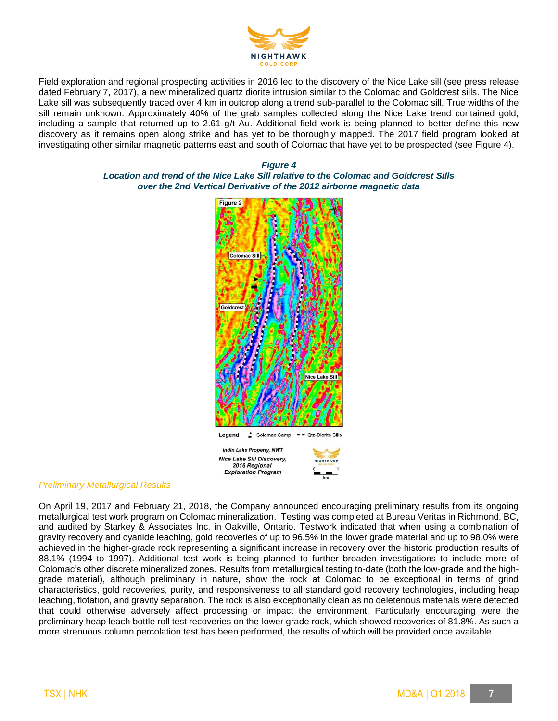

Field exploration and regional prospecting activities in 2016 led to the discovery of the Nice Lake sill (see press release dated February 7, 2017), a new mineralized quartz diorite intrusion similar to the Colomac and Goldcrest sills. The Nice Lake sill was subsequently traced over 4 km in outcrop along a trend sub-parallel to the Colomac sill. True widths of the sill remain unknown. Approximately 40% of the grab samples collected along the Nice Lake trend contained gold, including a sample that returned up to 2.61 g/t Au. Additional field work is being planned to better define this new discovery as it remains open along strike and has yet to be thoroughly mapped. The 2017 field program looked at investigating other similar magnetic patterns east and south of Colomac that have yet to be prospected (see Figure 4).

#### *Figure 4 Location and trend of the Nice Lake Sill relative to the Colomac and Goldcrest Sills over the 2nd Vertical Derivative of the 2012 airborne magnetic data*



#### *Preliminary Metallurgical Results*

On April 19, 2017 and February 21, 2018, the Company announced encouraging preliminary results from its ongoing metallurgical test work program on Colomac mineralization. Testing was completed at Bureau Veritas in Richmond, BC, and audited by Starkey & Associates Inc. in Oakville, Ontario. Testwork indicated that when using a combination of gravity recovery and cyanide leaching, gold recoveries of up to 96.5% in the lower grade material and up to 98.0% were achieved in the higher-grade rock representing a significant increase in recovery over the historic production results of 88.1% (1994 to 1997). Additional test work is being planned to further broaden investigations to include more of Colomac's other discrete mineralized zones. Results from metallurgical testing to-date (both the low-grade and the highgrade material), although preliminary in nature, show the rock at Colomac to be exceptional in terms of grind characteristics, gold recoveries, purity, and responsiveness to all standard gold recovery technologies, including heap leaching, flotation, and gravity separation. The rock is also exceptionally clean as no deleterious materials were detected that could otherwise adversely affect processing or impact the environment. Particularly encouraging were the preliminary heap leach bottle roll test recoveries on the lower grade rock, which showed recoveries of 81.8%. As such a more strenuous column percolation test has been performed, the results of which will be provided once available.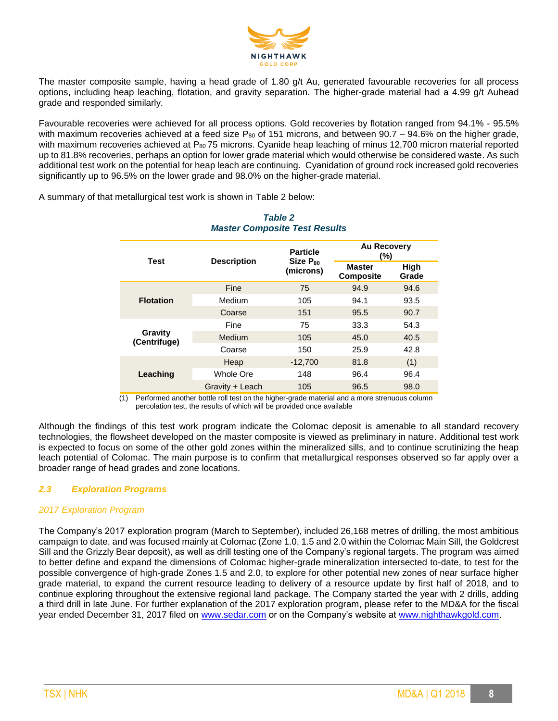

The master composite sample, having a head grade of 1.80 g/t Au, generated favourable recoveries for all process options, including heap leaching, flotation, and gravity separation. The higher-grade material had a 4.99 g/t Auhead grade and responded similarly.

Favourable recoveries were achieved for all process options. Gold recoveries by flotation ranged from 94.1% - 95.5% with maximum recoveries achieved at a feed size  $P_{80}$  of 151 microns, and between 90.7 – 94.6% on the higher grade, with maximum recoveries achieved at P<sub>80</sub> 75 microns. Cyanide heap leaching of minus 12,700 micron material reported up to 81.8% recoveries, perhaps an option for lower grade material which would otherwise be considered waste. As such additional test work on the potential for heap leach are continuing. Cyanidation of ground rock increased gold recoveries significantly up to 96.5% on the lower grade and 98.0% on the higher-grade material.

A summary of that metallurgical test work is shown in Table 2 below:

| <b>MASICI COMPOSITE TEST RESULTS</b> |                    |                                  |                                   |               |  |
|--------------------------------------|--------------------|----------------------------------|-----------------------------------|---------------|--|
| <b>Test</b>                          |                    | <b>Particle</b><br>$Size P_{80}$ | <b>Au Recovery</b><br>$(\%)$      |               |  |
|                                      | <b>Description</b> | (microns)                        | <b>Master</b><br><b>Composite</b> | High<br>Grade |  |
|                                      | Fine               | 75                               | 94.9                              | 94.6          |  |
| <b>Flotation</b>                     | Medium             | 105                              | 94.1                              | 93.5          |  |
|                                      | Coarse             | 151                              | 95.5                              | 90.7          |  |
| Gravity<br>(Centrifuge)              | Fine               | 75                               | 33.3                              | 54.3          |  |
|                                      | <b>Medium</b>      | 105                              | 45.0                              | 40.5          |  |
|                                      | Coarse             | 150                              | 25.9                              | 42.8          |  |
| Leaching                             | Heap               | $-12,700$                        | 81.8                              | (1)           |  |
|                                      | Whole Ore          | 148                              | 96.4                              | 96.4          |  |
|                                      | Gravity + Leach    | 105                              | 96.5                              | 98.0          |  |

# *Table 2 Master Composite Test Results*

(1) Performed another bottle roll test on the higher-grade material and a more strenuous column percolation test, the results of which will be provided once available

Although the findings of this test work program indicate the Colomac deposit is amenable to all standard recovery technologies, the flowsheet developed on the master composite is viewed as preliminary in nature. Additional test work is expected to focus on some of the other gold zones within the mineralized sills, and to continue scrutinizing the heap leach potential of Colomac. The main purpose is to confirm that metallurgical responses observed so far apply over a broader range of head grades and zone locations.

# *2.3 Exploration Programs*

#### *2017 Exploration Program*

The Company's 2017 exploration program (March to September), included 26,168 metres of drilling, the most ambitious campaign to date, and was focused mainly at Colomac (Zone 1.0, 1.5 and 2.0 within the Colomac Main Sill, the Goldcrest Sill and the Grizzly Bear deposit), as well as drill testing one of the Company's regional targets. The program was aimed to better define and expand the dimensions of Colomac higher-grade mineralization intersected to-date, to test for the possible convergence of high-grade Zones 1.5 and 2.0, to explore for other potential new zones of near surface higher grade material, to expand the current resource leading to delivery of a resource update by first half of 2018, and to continue exploring throughout the extensive regional land package. The Company started the year with 2 drills, adding a third drill in late June. For further explanation of the 2017 exploration program, please refer to the MD&A for the fiscal year ended December 31, 2017 filed on [www.sedar.com](http://www.sedar.com/) or on the Company's website at [www.nighthawkgold.com.](http://www.nighthawkgold.com/)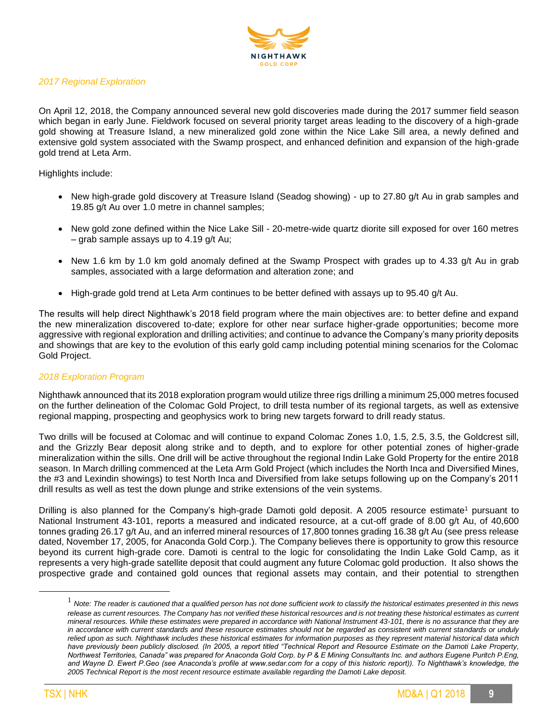

# *2017 Regional Exploration*

On April 12, 2018, the Company announced several new gold discoveries made during the 2017 summer field season which began in early June. Fieldwork focused on several priority target areas leading to the discovery of a high-grade gold showing at Treasure Island, a new mineralized gold zone within the Nice Lake Sill area, a newly defined and extensive gold system associated with the Swamp prospect, and enhanced definition and expansion of the high-grade gold trend at Leta Arm.

Highlights include:

- New high-grade gold discovery at Treasure Island (Seadog showing) up to 27.80 g/t Au in grab samples and 19.85 g/t Au over 1.0 metre in channel samples;
- New gold zone defined within the Nice Lake Sill 20-metre-wide quartz diorite sill exposed for over 160 metres – grab sample assays up to 4.19 g/t Au;
- New 1.6 km by 1.0 km gold anomaly defined at the Swamp Prospect with grades up to 4.33 g/t Au in grab samples, associated with a large deformation and alteration zone; and
- High-grade gold trend at Leta Arm continues to be better defined with assays up to 95.40 g/t Au.

The results will help direct Nighthawk's 2018 field program where the main objectives are: to better define and expand the new mineralization discovered to-date; explore for other near surface higher-grade opportunities; become more aggressive with regional exploration and drilling activities; and continue to advance the Company's many priority deposits and showings that are key to the evolution of this early gold camp including potential mining scenarios for the Colomac Gold Project.

#### *2018 Exploration Program*

Nighthawk announced that its 2018 exploration program would utilize three rigs drilling a minimum 25,000 metres focused on the further delineation of the Colomac Gold Project, to drill testa number of its regional targets, as well as extensive regional mapping, prospecting and geophysics work to bring new targets forward to drill ready status.

Two drills will be focused at Colomac and will continue to expand Colomac Zones 1.0, 1.5, 2.5, 3.5, the Goldcrest sill, and the Grizzly Bear deposit along strike and to depth, and to explore for other potential zones of higher-grade mineralization within the sills. One drill will be active throughout the regional Indin Lake Gold Property for the entire 2018 season. In March drilling commenced at the Leta Arm Gold Project (which includes the North Inca and Diversified Mines, the #3 and Lexindin showings) to test North Inca and Diversified from lake setups following up on the Company's 2011 drill results as well as test the down plunge and strike extensions of the vein systems.

Drilling is also planned for the Company's high-grade Damoti gold deposit. A 2005 resource estimate<sup>1</sup> pursuant to National Instrument 43-101, reports a measured and indicated resource, at a cut-off grade of 8.00 g/t Au, of 40,600 tonnes grading 26.17 g/t Au, and an inferred mineral resources of 17,800 tonnes grading 16.38 g/t Au (see press release dated, November 17, 2005, for Anaconda Gold Corp.). The Company believes there is opportunity to grow this resource beyond its current high-grade core. Damoti is central to the logic for consolidating the Indin Lake Gold Camp, as it represents a very high-grade satellite deposit that could augment any future Colomac gold production. It also shows the prospective grade and contained gold ounces that regional assets may contain, and their potential to strengthen

 $\overline{a}$ 

<sup>1</sup> *Note: The reader is cautioned that a qualified person has not done sufficient work to classify the historical estimates presented in this news release as current resources. The Company has not verified these historical resources and is not treating these historical estimates as current mineral resources. While these estimates were prepared in accordance with National Instrument 43-101, there is no assurance that they are in accordance with current standards and these resource estimates should not be regarded as consistent with current standards or unduly relied upon as such. Nighthawk includes these historical estimates for information purposes as they represent material historical data which have previously been publicly disclosed. (In 2005, a report titled "Technical Report and Resource Estimate on the Damoti Lake Property, Northwest Territories, Canada" was prepared for Anaconda Gold Corp. by P & E Mining Consultants Inc. and authors Eugene Puritch P.Eng,*  and Wayne D. Ewert P. Geo (see Anaconda's profile at www.sedar.com for a copy of this historic report)). To Nighthawk's knowledge, the *2005 Technical Report is the most recent resource estimate available regarding the Damoti Lake deposit.*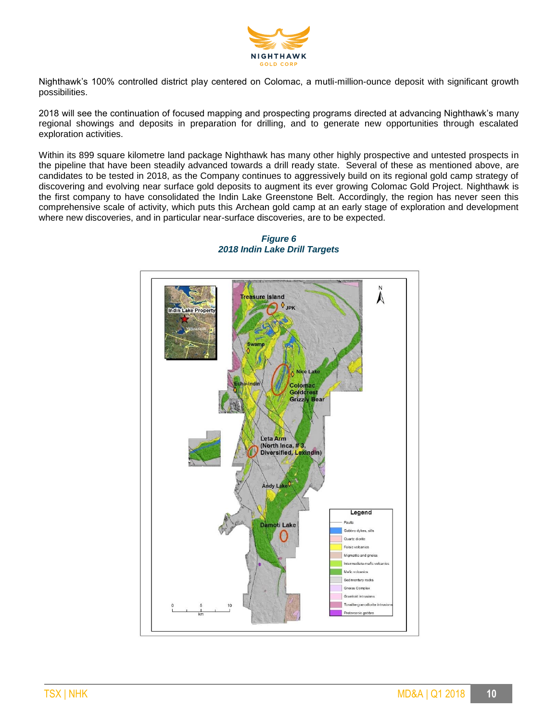

Nighthawk's 100% controlled district play centered on Colomac, a mutli-million-ounce deposit with significant growth possibilities.

2018 will see the continuation of focused mapping and prospecting programs directed at advancing Nighthawk's many regional showings and deposits in preparation for drilling, and to generate new opportunities through escalated exploration activities.

Within its 899 square kilometre land package Nighthawk has many other highly prospective and untested prospects in the pipeline that have been steadily advanced towards a drill ready state. Several of these as mentioned above, are candidates to be tested in 2018, as the Company continues to aggressively build on its regional gold camp strategy of discovering and evolving near surface gold deposits to augment its ever growing Colomac Gold Project. Nighthawk is the first company to have consolidated the Indin Lake Greenstone Belt. Accordingly, the region has never seen this comprehensive scale of activity, which puts this Archean gold camp at an early stage of exploration and development where new discoveries, and in particular near-surface discoveries, are to be expected.



#### *Figure 6 2018 Indin Lake Drill Targets*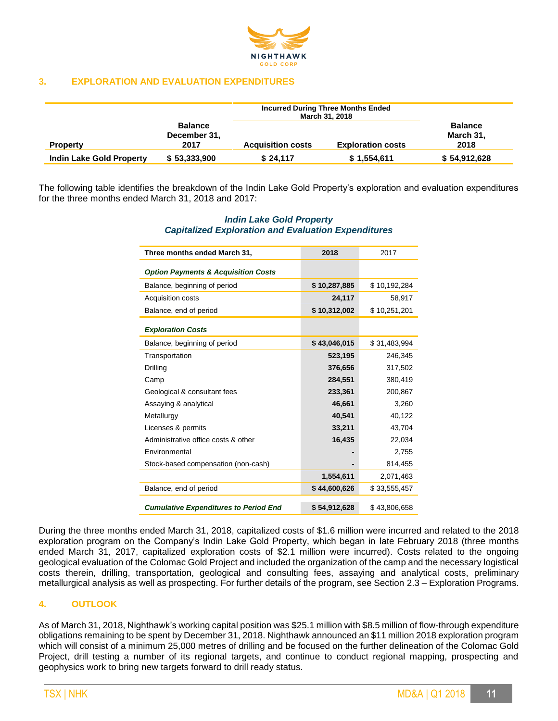

## **3. EXPLORATION AND EVALUATION EXPENDITURES**

|                                 |                                        | <b>Incurred During Three Months Ended</b><br>March 31, 2018 |                          |                                     |
|---------------------------------|----------------------------------------|-------------------------------------------------------------|--------------------------|-------------------------------------|
| <b>Property</b>                 | <b>Balance</b><br>December 31,<br>2017 | <b>Acquisition costs</b>                                    | <b>Exploration costs</b> | <b>Balance</b><br>March 31,<br>2018 |
| <b>Indin Lake Gold Property</b> | \$53,333,900                           | \$24.117                                                    | \$1,554,611              | \$54,912,628                        |

The following table identifies the breakdown of the Indin Lake Gold Property's exploration and evaluation expenditures for the three months ended March 31, 2018 and 2017:

# *Indin Lake Gold Property Capitalized Exploration and Evaluation Expenditures*

| Three months ended March 31,                   | 2018         | 2017         |
|------------------------------------------------|--------------|--------------|
| <b>Option Payments &amp; Acquisition Costs</b> |              |              |
| Balance, beginning of period                   | \$10,287,885 | \$10,192,284 |
| Acquisition costs                              | 24,117       | 58,917       |
| Balance, end of period                         | \$10,312,002 | \$10,251,201 |
| <b>Exploration Costs</b>                       |              |              |
| Balance, beginning of period                   | \$43,046,015 | \$31,483,994 |
| Transportation                                 | 523,195      | 246,345      |
| Drilling                                       | 376,656      | 317,502      |
| Camp                                           | 284,551      | 380,419      |
| Geological & consultant fees                   | 233,361      | 200,867      |
| Assaying & analytical                          | 46,661       | 3,260        |
| Metallurgy                                     | 40,541       | 40,122       |
| Licenses & permits                             | 33,211       | 43,704       |
| Administrative office costs & other            | 16,435       | 22,034       |
| Environmental                                  |              | 2,755        |
| Stock-based compensation (non-cash)            |              | 814,455      |
|                                                | 1,554,611    | 2,071,463    |
| Balance, end of period                         | \$44,600,626 | \$33,555,457 |
| <b>Cumulative Expenditures to Period End</b>   | \$54,912,628 | \$43,806,658 |

During the three months ended March 31, 2018, capitalized costs of \$1.6 million were incurred and related to the 2018 exploration program on the Company's Indin Lake Gold Property, which began in late February 2018 (three months ended March 31, 2017, capitalized exploration costs of \$2.1 million were incurred). Costs related to the ongoing geological evaluation of the Colomac Gold Project and included the organization of the camp and the necessary logistical costs therein, drilling, transportation, geological and consulting fees, assaying and analytical costs, preliminary metallurgical analysis as well as prospecting. For further details of the program, see Section 2.3 – Exploration Programs.

#### **4. OUTLOOK**

As of March 31, 2018, Nighthawk's working capital position was \$25.1 million with \$8.5 million of flow-through expenditure obligations remaining to be spent by December 31, 2018. Nighthawk announced an \$11 million 2018 exploration program which will consist of a minimum 25,000 metres of drilling and be focused on the further delineation of the Colomac Gold Project, drill testing a number of its regional targets, and continue to conduct regional mapping, prospecting and geophysics work to bring new targets forward to drill ready status.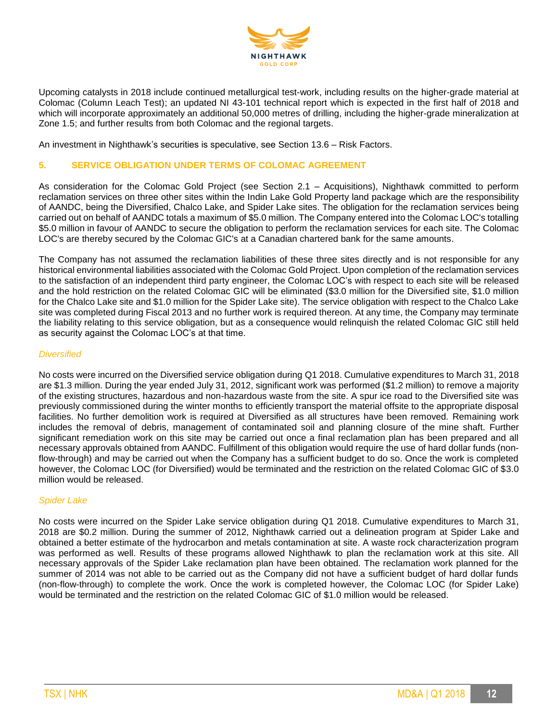

Upcoming catalysts in 2018 include continued metallurgical test-work, including results on the higher-grade material at Colomac (Column Leach Test); an updated NI 43-101 technical report which is expected in the first half of 2018 and which will incorporate approximately an additional 50,000 metres of drilling, including the higher-grade mineralization at Zone 1.5; and further results from both Colomac and the regional targets.

An investment in Nighthawk's securities is speculative, see Section 13.6 – Risk Factors.

#### **5. SERVICE OBLIGATION UNDER TERMS OF COLOMAC AGREEMENT**

As consideration for the Colomac Gold Project (see Section 2.1 – Acquisitions), Nighthawk committed to perform reclamation services on three other sites within the Indin Lake Gold Property land package which are the responsibility of AANDC, being the Diversified, Chalco Lake, and Spider Lake sites. The obligation for the reclamation services being carried out on behalf of AANDC totals a maximum of \$5.0 million. The Company entered into the Colomac LOC's totalling \$5.0 million in favour of AANDC to secure the obligation to perform the reclamation services for each site. The Colomac LOC's are thereby secured by the Colomac GIC's at a Canadian chartered bank for the same amounts.

The Company has not assumed the reclamation liabilities of these three sites directly and is not responsible for any historical environmental liabilities associated with the Colomac Gold Project. Upon completion of the reclamation services to the satisfaction of an independent third party engineer, the Colomac LOC's with respect to each site will be released and the hold restriction on the related Colomac GIC will be eliminated (\$3.0 million for the Diversified site, \$1.0 million for the Chalco Lake site and \$1.0 million for the Spider Lake site). The service obligation with respect to the Chalco Lake site was completed during Fiscal 2013 and no further work is required thereon. At any time, the Company may terminate the liability relating to this service obligation, but as a consequence would relinquish the related Colomac GIC still held as security against the Colomac LOC's at that time.

#### *Diversified*

No costs were incurred on the Diversified service obligation during Q1 2018. Cumulative expenditures to March 31, 2018 are \$1.3 million. During the year ended July 31, 2012, significant work was performed (\$1.2 million) to remove a majority of the existing structures, hazardous and non-hazardous waste from the site. A spur ice road to the Diversified site was previously commissioned during the winter months to efficiently transport the material offsite to the appropriate disposal facilities. No further demolition work is required at Diversified as all structures have been removed. Remaining work includes the removal of debris, management of contaminated soil and planning closure of the mine shaft. Further significant remediation work on this site may be carried out once a final reclamation plan has been prepared and all necessary approvals obtained from AANDC. Fulfillment of this obligation would require the use of hard dollar funds (nonflow-through) and may be carried out when the Company has a sufficient budget to do so. Once the work is completed however, the Colomac LOC (for Diversified) would be terminated and the restriction on the related Colomac GIC of \$3.0 million would be released.

#### *Spider Lake*

No costs were incurred on the Spider Lake service obligation during Q1 2018. Cumulative expenditures to March 31, 2018 are \$0.2 million. During the summer of 2012, Nighthawk carried out a delineation program at Spider Lake and obtained a better estimate of the hydrocarbon and metals contamination at site. A waste rock characterization program was performed as well. Results of these programs allowed Nighthawk to plan the reclamation work at this site. All necessary approvals of the Spider Lake reclamation plan have been obtained. The reclamation work planned for the summer of 2014 was not able to be carried out as the Company did not have a sufficient budget of hard dollar funds (non-flow-through) to complete the work. Once the work is completed however, the Colomac LOC (for Spider Lake) would be terminated and the restriction on the related Colomac GIC of \$1.0 million would be released.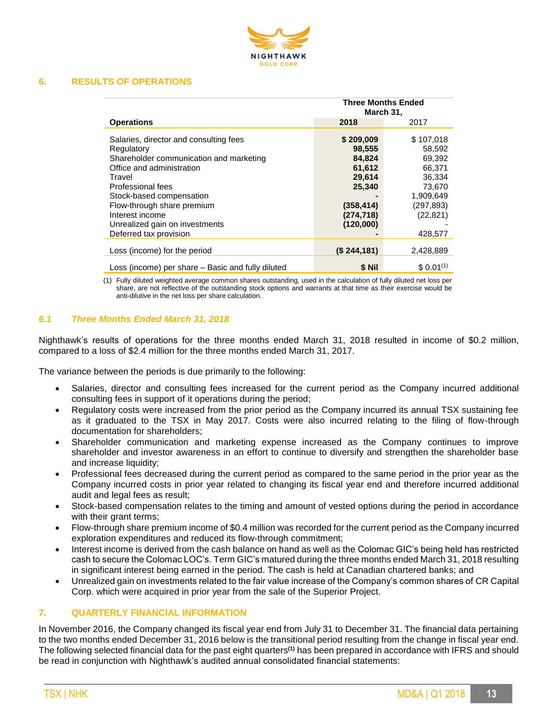

#### **6. RESULTS OF OPERATIONS**

|                                                                                                                                                                                                                                                                                                      | <b>Three Months Ended</b><br>March 31,                                                               |                                                                                                               |
|------------------------------------------------------------------------------------------------------------------------------------------------------------------------------------------------------------------------------------------------------------------------------------------------------|------------------------------------------------------------------------------------------------------|---------------------------------------------------------------------------------------------------------------|
| <b>Operations</b>                                                                                                                                                                                                                                                                                    | 2018                                                                                                 | 2017                                                                                                          |
| Salaries, director and consulting fees<br>Regulatory<br>Shareholder communication and marketing<br>Office and administration<br>Travel<br>Professional fees<br>Stock-based compensation<br>Flow-through share premium<br>Interest income<br>Unrealized gain on investments<br>Deferred tax provision | \$209,009<br>98,555<br>84,824<br>61,612<br>29,614<br>25,340<br>(358, 414)<br>(274, 718)<br>(120,000) | \$107,018<br>58,592<br>69,392<br>66,371<br>36,334<br>73,670<br>1.909.649<br>(297,893)<br>(22, 821)<br>428,577 |
| Loss (income) for the period                                                                                                                                                                                                                                                                         | $(S$ 244,181)                                                                                        | 2,428,889                                                                                                     |
| Loss (income) per share - Basic and fully diluted                                                                                                                                                                                                                                                    | \$ Nil                                                                                               | $$0.01^{(1)}$                                                                                                 |

(1) Fully diluted weighted average common shares outstanding, used in the calculation of fully diluted net loss per share, are not reflective of the outstanding stock options and warrants at that time as their exercise would be anti-dilutive in the net loss per share calculation.

#### *6.1 Three Months Ended March 31, 2018*

Nighthawk's results of operations for the three months ended March 31, 2018 resulted in income of \$0.2 million, compared to a loss of \$2.4 million for the three months ended March 31, 2017.

The variance between the periods is due primarily to the following:

- Salaries, director and consulting fees increased for the current period as the Company incurred additional consulting fees in support of it operations during the period;
- Regulatory costs were increased from the prior period as the Company incurred its annual TSX sustaining fee as it graduated to the TSX in May 2017. Costs were also incurred relating to the filing of flow-through documentation for shareholders;
- Shareholder communication and marketing expense increased as the Company continues to improve shareholder and investor awareness in an effort to continue to diversify and strengthen the shareholder base and increase liquidity;
- Professional fees decreased during the current period as compared to the same period in the prior year as the Company incurred costs in prior year related to changing its fiscal year end and therefore incurred additional audit and legal fees as result;
- Stock-based compensation relates to the timing and amount of vested options during the period in accordance with their grant terms;
- Flow-through share premium income of \$0.4 million was recorded for the current period as the Company incurred exploration expenditures and reduced its flow-through commitment;
- Interest income is derived from the cash balance on hand as well as the Colomac GIC's being held has restricted cash to secure the Colomac LOC's. Term GIC's matured during the three months ended March 31, 2018 resulting in significant interest being earned in the period. The cash is held at Canadian chartered banks; and
- Unrealized gain on investments related to the fair value increase of the Company's common shares of CR Capital Corp. which were acquired in prior year from the sale of the Superior Project.

#### **7. QUARTERLY FINANCIAL INFORMATION**

In November 2016, the Company changed its fiscal year end from July 31 to December 31. The financial data pertaining to the two months ended December 31, 2016 below is the transitional period resulting from the change in fiscal year end. The following selected financial data for the past eight quarters**(1)** has been prepared in accordance with IFRS and should be read in conjunction with Nighthawk's audited annual consolidated financial statements: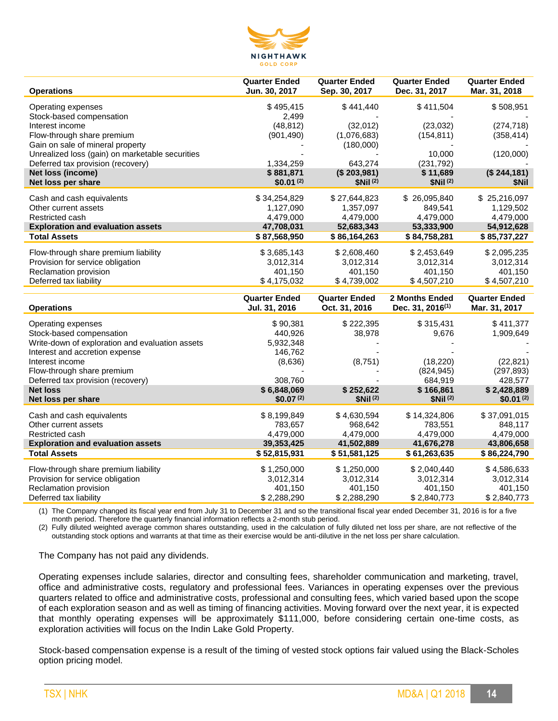

| <b>Operations</b>                               | <b>Quarter Ended</b><br>Jun. 30, 2017 | <b>Quarter Ended</b><br>Sep. 30, 2017 | <b>Quarter Ended</b><br>Dec. 31, 2017          | <b>Quarter Ended</b><br>Mar. 31, 2018 |
|-------------------------------------------------|---------------------------------------|---------------------------------------|------------------------------------------------|---------------------------------------|
| Operating expenses                              | \$495,415                             | \$441,440                             | \$411,504                                      | \$508,951                             |
| Stock-based compensation                        | 2,499                                 |                                       |                                                |                                       |
| Interest income                                 | (48, 812)                             | (32,012)                              | (23, 032)                                      | (274, 718)                            |
| Flow-through share premium                      | (901, 490)                            | (1,076,683)                           | (154, 811)                                     | (358, 414)                            |
| Gain on sale of mineral property                |                                       | (180,000)                             |                                                |                                       |
| Unrealized loss (gain) on marketable securities |                                       |                                       | 10,000                                         | (120,000)                             |
| Deferred tax provision (recovery)               | 1,334,259                             | 643.274                               | (231,792)                                      |                                       |
| Net loss (income)                               | \$881,871                             | (\$203,981)                           | \$11,689                                       | (\$244,181)                           |
| Net loss per share                              | $$0.01^{(2)}$                         | \$Nil <sup>(2)</sup>                  | \$Nil <sup>(2)</sup>                           | \$Nil                                 |
| Cash and cash equivalents                       | \$34,254,829                          | \$27,644,823                          | \$26,095,840                                   | \$25,216,097                          |
| Other current assets                            | 1,127,090                             | 1,357,097                             | 849,541                                        | 1,129,502                             |
| Restricted cash                                 | 4,479,000                             | 4,479,000                             | 4,479,000                                      | 4,479,000                             |
| <b>Exploration and evaluation assets</b>        | 47,708,031                            | 52,683,343                            | 53,333,900                                     | 54,912,628                            |
| <b>Total Assets</b>                             | \$87,568,950                          | \$86,164,263                          | \$84,758,281                                   | \$85,737,227                          |
| Flow-through share premium liability            | \$3,685,143                           | \$2,608,460                           | \$2,453,649                                    | \$2,095,235                           |
| Provision for service obligation                | 3,012,314                             | 3,012,314                             | 3,012,314                                      | 3,012,314                             |
| Reclamation provision                           | 401,150                               | 401,150                               | 401,150                                        | 401,150                               |
| Deferred tax liability                          | \$4,175,032                           | \$4,739,002                           | \$4,507,210                                    | \$4,507,210                           |
|                                                 |                                       |                                       |                                                |                                       |
|                                                 |                                       |                                       |                                                |                                       |
| <b>Operations</b>                               | <b>Quarter Ended</b><br>Jul. 31, 2016 | <b>Quarter Ended</b><br>Oct. 31, 2016 | 2 Months Ended<br>Dec. 31, 2016 <sup>(1)</sup> | <b>Quarter Ended</b><br>Mar. 31, 2017 |
| Operating expenses                              | \$90,381                              | \$222,395                             | \$315,431                                      | \$411,377                             |
| Stock-based compensation                        | 440,926                               | 38,978                                | 9,676                                          | 1,909,649                             |
| Write-down of exploration and evaluation assets | 5,932,348                             |                                       |                                                |                                       |
| Interest and accretion expense                  | 146,762                               |                                       |                                                |                                       |
| Interest income                                 | (8,636)                               | (8,751)                               | (18, 220)                                      | (22, 821)                             |
| Flow-through share premium                      |                                       |                                       | (824, 945)                                     | (297, 893)                            |
| Deferred tax provision (recovery)               | 308,760                               |                                       | 684,919                                        | 428,577                               |
| <b>Net loss</b><br>Net loss per share           | \$6,848,069<br>$$0.07^{(2)}$$         | \$252,622<br>\$Nil(2)                 | \$166,861<br>\$Nil <sup>(2)</sup>              | \$2,428,889<br>$$0.01^{(2)}$          |
|                                                 |                                       |                                       |                                                |                                       |
| Cash and cash equivalents                       | \$8,199,849                           | \$4,630,594                           | \$14,324,806                                   | \$37,091,015                          |
| Other current assets                            | 783,657                               | 968,642                               | 783,551                                        | 848,117                               |
| Restricted cash                                 | 4,479,000                             | 4,479,000                             | 4,479,000                                      | 4,479,000                             |
| <b>Exploration and evaluation assets</b>        | 39,353,425                            | 41,502,889                            | 41,676,278                                     | 43,806,658                            |
| <b>Total Assets</b>                             | \$52,815,931                          | \$51,581,125                          | \$61,263,635                                   | \$86,224,790                          |
| Flow-through share premium liability            | \$1,250,000                           | \$1,250,000                           | \$2,040,440                                    | \$4,586,633                           |
| Provision for service obligation                | 3,012,314                             | 3,012,314                             | 3,012,314                                      | 3,012,314                             |
| Reclamation provision<br>Deferred tax liability | 401,150<br>\$2,288,290                | 401,150<br>\$2,288,290                | 401,150<br>\$2,840,773                         | 401,150<br>\$2,840,773                |

(1) The Company changed its fiscal year end from July 31 to December 31 and so the transitional fiscal year ended December 31, 2016 is for a five month period. Therefore the quarterly financial information reflects a 2-month stub period.

(2) Fully diluted weighted average common shares outstanding, used in the calculation of fully diluted net loss per share, are not reflective of the outstanding stock options and warrants at that time as their exercise would be anti-dilutive in the net loss per share calculation.

The Company has not paid any dividends.

Operating expenses include salaries, director and consulting fees, shareholder communication and marketing, travel, office and administrative costs, regulatory and professional fees. Variances in operating expenses over the previous quarters related to office and administrative costs, professional and consulting fees, which varied based upon the scope of each exploration season and as well as timing of financing activities. Moving forward over the next year, it is expected that monthly operating expenses will be approximately \$111,000, before considering certain one-time costs, as exploration activities will focus on the Indin Lake Gold Property.

Stock-based compensation expense is a result of the timing of vested stock options fair valued using the Black-Scholes option pricing model.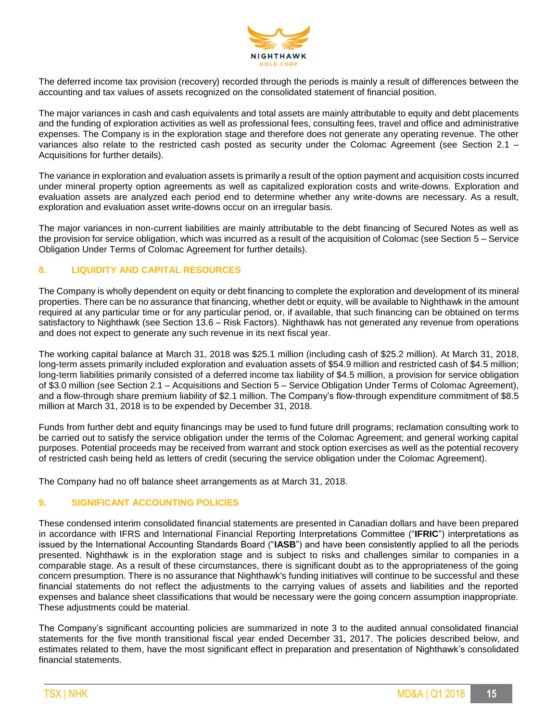

The deferred income tax provision (recovery) recorded through the periods is mainly a result of differences between the accounting and tax values of assets recognized on the consolidated statement of financial position.

The major variances in cash and cash equivalents and total assets are mainly attributable to equity and debt placements and the funding of exploration activities as well as professional fees, consulting fees, travel and office and administrative expenses. The Company is in the exploration stage and therefore does not generate any operating revenue. The other variances also relate to the restricted cash posted as security under the Colomac Agreement (see Section 2.1 – Acquisitions for further details).

The variance in exploration and evaluation assets is primarily a result of the option payment and acquisition costs incurred under mineral property option agreements as well as capitalized exploration costs and write-downs. Exploration and evaluation assets are analyzed each period end to determine whether any write-downs are necessary. As a result, exploration and evaluation asset write-downs occur on an irregular basis.

The major variances in non-current liabilities are mainly attributable to the debt financing of Secured Notes as well as the provision for service obligation, which was incurred as a result of the acquisition of Colomac (see Section 5 – Service Obligation Under Terms of Colomac Agreement for further details).

# **8. LIQUIDITY AND CAPITAL RESOURCES**

The Company is wholly dependent on equity or debt financing to complete the exploration and development of its mineral properties. There can be no assurance that financing, whether debt or equity, will be available to Nighthawk in the amount required at any particular time or for any particular period, or, if available, that such financing can be obtained on terms satisfactory to Nighthawk (see Section 13.6 – Risk Factors). Nighthawk has not generated any revenue from operations and does not expect to generate any such revenue in its next fiscal year.

The working capital balance at March 31, 2018 was \$25.1 million (including cash of \$25.2 million). At March 31, 2018, long-term assets primarily included exploration and evaluation assets of \$54.9 million and restricted cash of \$4.5 million; long-term liabilities primarily consisted of a deferred income tax liability of \$4.5 million, a provision for service obligation of \$3.0 million (see Section 2.1 – Acquisitions and Section 5 – Service Obligation Under Terms of Colomac Agreement), and a flow-through share premium liability of \$2.1 million. The Company's flow-through expenditure commitment of \$8.5 million at March 31, 2018 is to be expended by December 31, 2018.

Funds from further debt and equity financings may be used to fund future drill programs; reclamation consulting work to be carried out to satisfy the service obligation under the terms of the Colomac Agreement; and general working capital purposes. Potential proceeds may be received from warrant and stock option exercises as well as the potential recovery of restricted cash being held as letters of credit (securing the service obligation under the Colomac Agreement).

The Company had no off balance sheet arrangements as at March 31, 2018.

# **9. SIGNIFICANT ACCOUNTING POLICIES**

These condensed interim consolidated financial statements are presented in Canadian dollars and have been prepared in accordance with IFRS and International Financial Reporting Interpretations Committee ("**IFRIC**") interpretations as issued by the International Accounting Standards Board ("**IASB**") and have been consistently applied to all the periods presented. Nighthawk is in the exploration stage and is subject to risks and challenges similar to companies in a comparable stage. As a result of these circumstances, there is significant doubt as to the appropriateness of the going concern presumption. There is no assurance that Nighthawk's funding initiatives will continue to be successful and these financial statements do not reflect the adjustments to the carrying values of assets and liabilities and the reported expenses and balance sheet classifications that would be necessary were the going concern assumption inappropriate. These adjustments could be material.

The Company's significant accounting policies are summarized in note 3 to the audited annual consolidated financial statements for the five month transitional fiscal year ended December 31, 2017. The policies described below, and estimates related to them, have the most significant effect in preparation and presentation of Nighthawk's consolidated financial statements.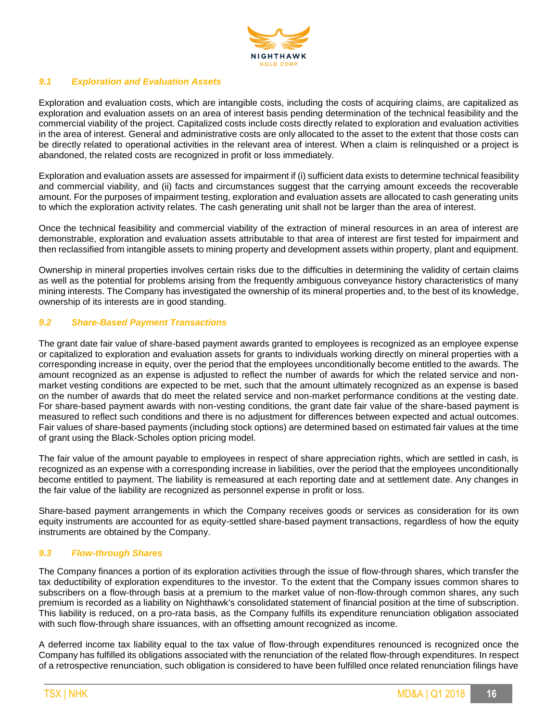

# *9.1 Exploration and Evaluation Assets*

Exploration and evaluation costs, which are intangible costs, including the costs of acquiring claims, are capitalized as exploration and evaluation assets on an area of interest basis pending determination of the technical feasibility and the commercial viability of the project. Capitalized costs include costs directly related to exploration and evaluation activities in the area of interest. General and administrative costs are only allocated to the asset to the extent that those costs can be directly related to operational activities in the relevant area of interest. When a claim is relinquished or a project is abandoned, the related costs are recognized in profit or loss immediately.

Exploration and evaluation assets are assessed for impairment if (i) sufficient data exists to determine technical feasibility and commercial viability, and (ii) facts and circumstances suggest that the carrying amount exceeds the recoverable amount. For the purposes of impairment testing, exploration and evaluation assets are allocated to cash generating units to which the exploration activity relates. The cash generating unit shall not be larger than the area of interest.

Once the technical feasibility and commercial viability of the extraction of mineral resources in an area of interest are demonstrable, exploration and evaluation assets attributable to that area of interest are first tested for impairment and then reclassified from intangible assets to mining property and development assets within property, plant and equipment.

Ownership in mineral properties involves certain risks due to the difficulties in determining the validity of certain claims as well as the potential for problems arising from the frequently ambiguous conveyance history characteristics of many mining interests. The Company has investigated the ownership of its mineral properties and, to the best of its knowledge, ownership of its interests are in good standing.

# *9.2 Share-Based Payment Transactions*

The grant date fair value of share-based payment awards granted to employees is recognized as an employee expense or capitalized to exploration and evaluation assets for grants to individuals working directly on mineral properties with a corresponding increase in equity, over the period that the employees unconditionally become entitled to the awards. The amount recognized as an expense is adjusted to reflect the number of awards for which the related service and nonmarket vesting conditions are expected to be met, such that the amount ultimately recognized as an expense is based on the number of awards that do meet the related service and non-market performance conditions at the vesting date. For share-based payment awards with non-vesting conditions, the grant date fair value of the share-based payment is measured to reflect such conditions and there is no adjustment for differences between expected and actual outcomes. Fair values of share-based payments (including stock options) are determined based on estimated fair values at the time of grant using the Black-Scholes option pricing model.

The fair value of the amount payable to employees in respect of share appreciation rights, which are settled in cash, is recognized as an expense with a corresponding increase in liabilities, over the period that the employees unconditionally become entitled to payment. The liability is remeasured at each reporting date and at settlement date. Any changes in the fair value of the liability are recognized as personnel expense in profit or loss.

Share-based payment arrangements in which the Company receives goods or services as consideration for its own equity instruments are accounted for as equity-settled share-based payment transactions, regardless of how the equity instruments are obtained by the Company.

#### *9.3 Flow-through Shares*

The Company finances a portion of its exploration activities through the issue of flow-through shares, which transfer the tax deductibility of exploration expenditures to the investor. To the extent that the Company issues common shares to subscribers on a flow-through basis at a premium to the market value of non-flow-through common shares, any such premium is recorded as a liability on Nighthawk's consolidated statement of financial position at the time of subscription. This liability is reduced, on a pro-rata basis, as the Company fulfills its expenditure renunciation obligation associated with such flow-through share issuances, with an offsetting amount recognized as income.

A deferred income tax liability equal to the tax value of flow-through expenditures renounced is recognized once the Company has fulfilled its obligations associated with the renunciation of the related flow-through expenditures. In respect of a retrospective renunciation, such obligation is considered to have been fulfilled once related renunciation filings have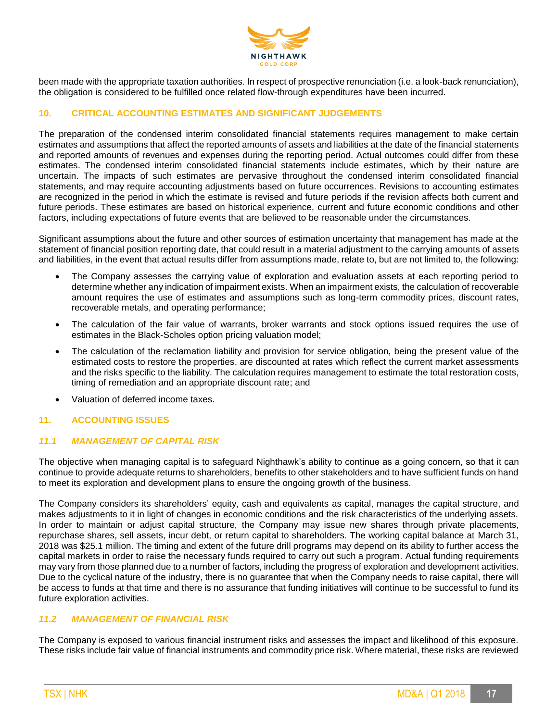

been made with the appropriate taxation authorities. In respect of prospective renunciation (i.e. a look-back renunciation), the obligation is considered to be fulfilled once related flow-through expenditures have been incurred.

# **10. CRITICAL ACCOUNTING ESTIMATES AND SIGNIFICANT JUDGEMENTS**

The preparation of the condensed interim consolidated financial statements requires management to make certain estimates and assumptions that affect the reported amounts of assets and liabilities at the date of the financial statements and reported amounts of revenues and expenses during the reporting period. Actual outcomes could differ from these estimates. The condensed interim consolidated financial statements include estimates, which by their nature are uncertain. The impacts of such estimates are pervasive throughout the condensed interim consolidated financial statements, and may require accounting adjustments based on future occurrences. Revisions to accounting estimates are recognized in the period in which the estimate is revised and future periods if the revision affects both current and future periods. These estimates are based on historical experience, current and future economic conditions and other factors, including expectations of future events that are believed to be reasonable under the circumstances.

Significant assumptions about the future and other sources of estimation uncertainty that management has made at the statement of financial position reporting date, that could result in a material adjustment to the carrying amounts of assets and liabilities, in the event that actual results differ from assumptions made, relate to, but are not limited to, the following:

- The Company assesses the carrying value of exploration and evaluation assets at each reporting period to determine whether any indication of impairment exists. When an impairment exists, the calculation of recoverable amount requires the use of estimates and assumptions such as long-term commodity prices, discount rates, recoverable metals, and operating performance;
- The calculation of the fair value of warrants, broker warrants and stock options issued requires the use of estimates in the Black-Scholes option pricing valuation model;
- The calculation of the reclamation liability and provision for service obligation, being the present value of the estimated costs to restore the properties, are discounted at rates which reflect the current market assessments and the risks specific to the liability. The calculation requires management to estimate the total restoration costs, timing of remediation and an appropriate discount rate; and
- Valuation of deferred income taxes.

# **11. ACCOUNTING ISSUES**

## *11.1 MANAGEMENT OF CAPITAL RISK*

The objective when managing capital is to safeguard Nighthawk's ability to continue as a going concern, so that it can continue to provide adequate returns to shareholders, benefits to other stakeholders and to have sufficient funds on hand to meet its exploration and development plans to ensure the ongoing growth of the business.

The Company considers its shareholders' equity, cash and equivalents as capital, manages the capital structure, and makes adjustments to it in light of changes in economic conditions and the risk characteristics of the underlying assets. In order to maintain or adjust capital structure, the Company may issue new shares through private placements, repurchase shares, sell assets, incur debt, or return capital to shareholders. The working capital balance at March 31, 2018 was \$25.1 million. The timing and extent of the future drill programs may depend on its ability to further access the capital markets in order to raise the necessary funds required to carry out such a program. Actual funding requirements may vary from those planned due to a number of factors, including the progress of exploration and development activities. Due to the cyclical nature of the industry, there is no guarantee that when the Company needs to raise capital, there will be access to funds at that time and there is no assurance that funding initiatives will continue to be successful to fund its future exploration activities.

#### *11.2 MANAGEMENT OF FINANCIAL RISK*

The Company is exposed to various financial instrument risks and assesses the impact and likelihood of this exposure. These risks include fair value of financial instruments and commodity price risk. Where material, these risks are reviewed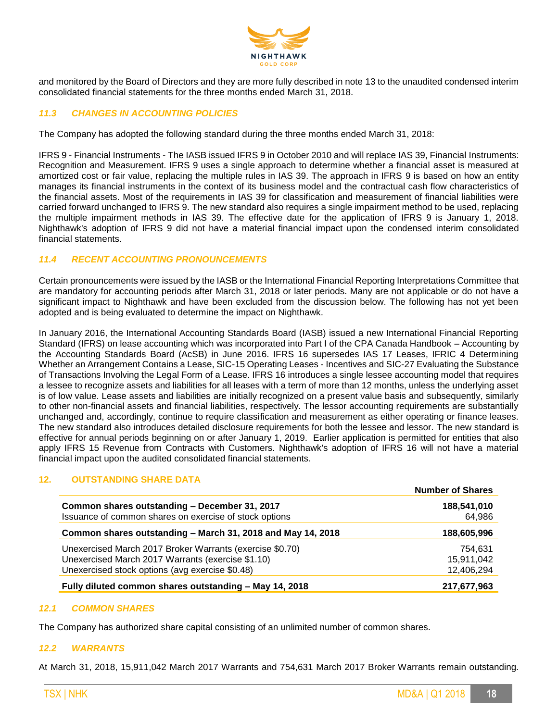

and monitored by the Board of Directors and they are more fully described in note 13 to the unaudited condensed interim consolidated financial statements for the three months ended March 31, 2018.

# *11.3 CHANGES IN ACCOUNTING POLICIES*

The Company has adopted the following standard during the three months ended March 31, 2018:

IFRS 9 - Financial Instruments - The IASB issued IFRS 9 in October 2010 and will replace IAS 39, Financial Instruments: Recognition and Measurement. IFRS 9 uses a single approach to determine whether a financial asset is measured at amortized cost or fair value, replacing the multiple rules in IAS 39. The approach in IFRS 9 is based on how an entity manages its financial instruments in the context of its business model and the contractual cash flow characteristics of the financial assets. Most of the requirements in IAS 39 for classification and measurement of financial liabilities were carried forward unchanged to IFRS 9. The new standard also requires a single impairment method to be used, replacing the multiple impairment methods in IAS 39. The effective date for the application of IFRS 9 is January 1, 2018. Nighthawk's adoption of IFRS 9 did not have a material financial impact upon the condensed interim consolidated financial statements.

#### *11.4 RECENT ACCOUNTING PRONOUNCEMENTS*

Certain pronouncements were issued by the IASB or the International Financial Reporting Interpretations Committee that are mandatory for accounting periods after March 31, 2018 or later periods. Many are not applicable or do not have a significant impact to Nighthawk and have been excluded from the discussion below. The following has not yet been adopted and is being evaluated to determine the impact on Nighthawk.

In January 2016, the International Accounting Standards Board (IASB) issued a new International Financial Reporting Standard (IFRS) on lease accounting which was incorporated into Part I of the CPA Canada Handbook – Accounting by the Accounting Standards Board (AcSB) in June 2016. IFRS 16 supersedes IAS 17 Leases, IFRIC 4 Determining Whether an Arrangement Contains a Lease, SIC-15 Operating Leases - Incentives and SIC-27 Evaluating the Substance of Transactions Involving the Legal Form of a Lease. IFRS 16 introduces a single lessee accounting model that requires a lessee to recognize assets and liabilities for all leases with a term of more than 12 months, unless the underlying asset is of low value. Lease assets and liabilities are initially recognized on a present value basis and subsequently, similarly to other non-financial assets and financial liabilities, respectively. The lessor accounting requirements are substantially unchanged and, accordingly, continue to require classification and measurement as either operating or finance leases. The new standard also introduces detailed disclosure requirements for both the lessee and lessor. The new standard is effective for annual periods beginning on or after January 1, 2019. Earlier application is permitted for entities that also apply IFRS 15 Revenue from Contracts with Customers. Nighthawk's adoption of IFRS 16 will not have a material financial impact upon the audited consolidated financial statements.

#### **12. OUTSTANDING SHARE DATA**

|                                                             | <b>Number of Shares</b> |
|-------------------------------------------------------------|-------------------------|
| Common shares outstanding - December 31, 2017               | 188,541,010             |
| Issuance of common shares on exercise of stock options      | 64,986                  |
| Common shares outstanding - March 31, 2018 and May 14, 2018 | 188,605,996             |
| Unexercised March 2017 Broker Warrants (exercise \$0.70)    | 754.631                 |
| Unexercised March 2017 Warrants (exercise \$1.10)           | 15,911,042              |
| Unexercised stock options (avg exercise \$0.48)             | 12,406,294              |
| Fully diluted common shares outstanding - May 14, 2018      | 217,677,963             |

#### *12.1 COMMON SHARES*

The Company has authorized share capital consisting of an unlimited number of common shares.

#### *12.2 WARRANTS*

At March 31, 2018, 15,911,042 March 2017 Warrants and 754,631 March 2017 Broker Warrants remain outstanding.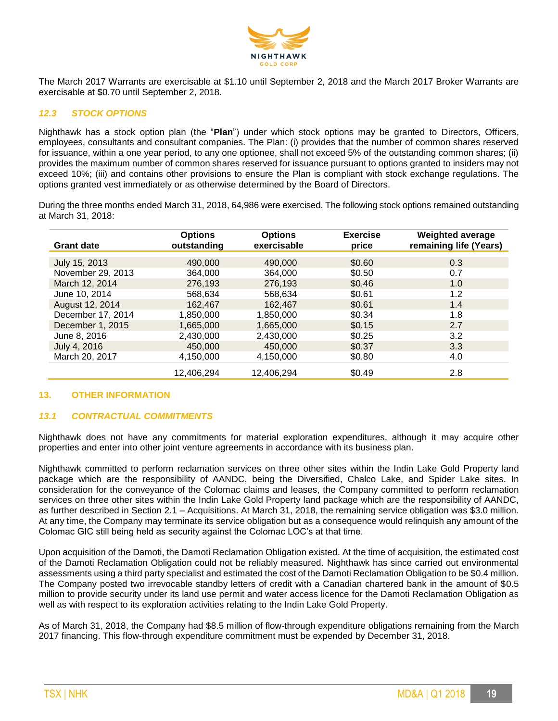

The March 2017 Warrants are exercisable at \$1.10 until September 2, 2018 and the March 2017 Broker Warrants are exercisable at \$0.70 until September 2, 2018.

# *12.3 STOCK OPTIONS*

Nighthawk has a stock option plan (the "**Plan**") under which stock options may be granted to Directors, Officers, employees, consultants and consultant companies. The Plan: (i) provides that the number of common shares reserved for issuance, within a one year period, to any one optionee, shall not exceed 5% of the outstanding common shares; (ii) provides the maximum number of common shares reserved for issuance pursuant to options granted to insiders may not exceed 10%; (iii) and contains other provisions to ensure the Plan is compliant with stock exchange regulations. The options granted vest immediately or as otherwise determined by the Board of Directors.

During the three months ended March 31, 2018, 64,986 were exercised. The following stock options remained outstanding at March 31, 2018:

| <b>Grant date</b> | <b>Options</b><br>outstanding | <b>Options</b><br>exercisable | <b>Exercise</b><br>price | <b>Weighted average</b><br>remaining life (Years) |
|-------------------|-------------------------------|-------------------------------|--------------------------|---------------------------------------------------|
|                   |                               |                               |                          |                                                   |
| July 15, 2013     | 490,000                       | 490,000                       | \$0.60                   | 0.3                                               |
| November 29, 2013 | 364,000                       | 364,000                       | \$0.50                   | 0.7                                               |
| March 12, 2014    | 276,193                       | 276,193                       | \$0.46                   | 1.0                                               |
| June 10, 2014     | 568.634                       | 568.634                       | \$0.61                   | 1.2                                               |
| August 12, 2014   | 162.467                       | 162,467                       | \$0.61                   | 1.4                                               |
| December 17, 2014 | 1.850.000                     | 1,850,000                     | \$0.34                   | 1.8                                               |
| December 1, 2015  | 1.665.000                     | 1.665.000                     | \$0.15                   | 2.7                                               |
| June 8, 2016      | 2.430.000                     | 2.430.000                     | \$0.25                   | 3.2                                               |
| July 4, 2016      | 450,000                       | 450,000                       | \$0.37                   | 3.3                                               |
| March 20, 2017    | 4,150,000                     | 4,150,000                     | \$0.80                   | 4.0                                               |
|                   | 12,406,294                    | 12,406,294                    | \$0.49                   | 2.8                                               |

#### **13. OTHER INFORMATION**

#### *13.1 CONTRACTUAL COMMITMENTS*

Nighthawk does not have any commitments for material exploration expenditures, although it may acquire other properties and enter into other joint venture agreements in accordance with its business plan.

Nighthawk committed to perform reclamation services on three other sites within the Indin Lake Gold Property land package which are the responsibility of AANDC, being the Diversified, Chalco Lake, and Spider Lake sites. In consideration for the conveyance of the Colomac claims and leases, the Company committed to perform reclamation services on three other sites within the Indin Lake Gold Property land package which are the responsibility of AANDC, as further described in Section 2.1 – Acquisitions. At March 31, 2018, the remaining service obligation was \$3.0 million. At any time, the Company may terminate its service obligation but as a consequence would relinquish any amount of the Colomac GIC still being held as security against the Colomac LOC's at that time.

Upon acquisition of the Damoti, the Damoti Reclamation Obligation existed. At the time of acquisition, the estimated cost of the Damoti Reclamation Obligation could not be reliably measured. Nighthawk has since carried out environmental assessments using a third party specialist and estimated the cost of the Damoti Reclamation Obligation to be \$0.4 million. The Company posted two irrevocable standby letters of credit with a Canadian chartered bank in the amount of \$0.5 million to provide security under its land use permit and water access licence for the Damoti Reclamation Obligation as well as with respect to its exploration activities relating to the Indin Lake Gold Property.

As of March 31, 2018, the Company had \$8.5 million of flow-through expenditure obligations remaining from the March 2017 financing. This flow-through expenditure commitment must be expended by December 31, 2018.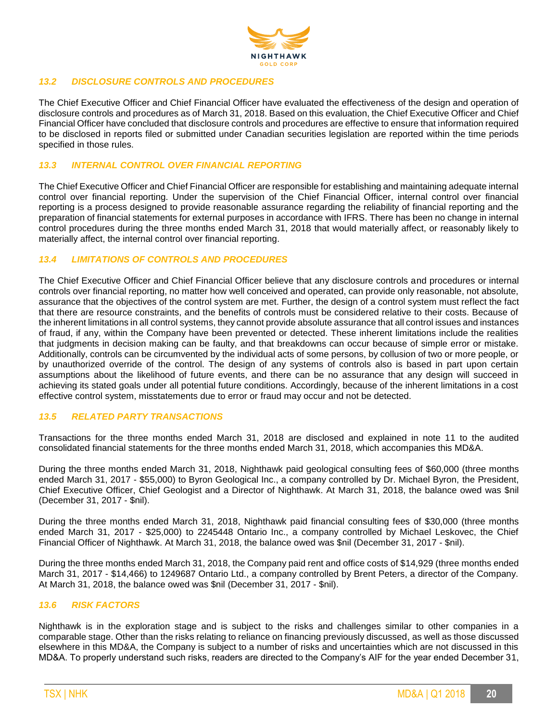

## *13.2 DISCLOSURE CONTROLS AND PROCEDURES*

The Chief Executive Officer and Chief Financial Officer have evaluated the effectiveness of the design and operation of disclosure controls and procedures as of March 31, 2018. Based on this evaluation, the Chief Executive Officer and Chief Financial Officer have concluded that disclosure controls and procedures are effective to ensure that information required to be disclosed in reports filed or submitted under Canadian securities legislation are reported within the time periods specified in those rules.

#### *13.3 INTERNAL CONTROL OVER FINANCIAL REPORTING*

The Chief Executive Officer and Chief Financial Officer are responsible for establishing and maintaining adequate internal control over financial reporting. Under the supervision of the Chief Financial Officer, internal control over financial reporting is a process designed to provide reasonable assurance regarding the reliability of financial reporting and the preparation of financial statements for external purposes in accordance with IFRS. There has been no change in internal control procedures during the three months ended March 31, 2018 that would materially affect, or reasonably likely to materially affect, the internal control over financial reporting.

#### *13.4 LIMITATIONS OF CONTROLS AND PROCEDURES*

The Chief Executive Officer and Chief Financial Officer believe that any disclosure controls and procedures or internal controls over financial reporting, no matter how well conceived and operated, can provide only reasonable, not absolute, assurance that the objectives of the control system are met. Further, the design of a control system must reflect the fact that there are resource constraints, and the benefits of controls must be considered relative to their costs. Because of the inherent limitations in all control systems, they cannot provide absolute assurance that all control issues and instances of fraud, if any, within the Company have been prevented or detected. These inherent limitations include the realities that judgments in decision making can be faulty, and that breakdowns can occur because of simple error or mistake. Additionally, controls can be circumvented by the individual acts of some persons, by collusion of two or more people, or by unauthorized override of the control. The design of any systems of controls also is based in part upon certain assumptions about the likelihood of future events, and there can be no assurance that any design will succeed in achieving its stated goals under all potential future conditions. Accordingly, because of the inherent limitations in a cost effective control system, misstatements due to error or fraud may occur and not be detected.

#### *13.5 RELATED PARTY TRANSACTIONS*

Transactions for the three months ended March 31, 2018 are disclosed and explained in note 11 to the audited consolidated financial statements for the three months ended March 31, 2018, which accompanies this MD&A.

During the three months ended March 31, 2018, Nighthawk paid geological consulting fees of \$60,000 (three months ended March 31, 2017 - \$55,000) to Byron Geological Inc., a company controlled by Dr. Michael Byron, the President, Chief Executive Officer, Chief Geologist and a Director of Nighthawk. At March 31, 2018, the balance owed was \$nil (December 31, 2017 - \$nil).

During the three months ended March 31, 2018, Nighthawk paid financial consulting fees of \$30,000 (three months ended March 31, 2017 - \$25,000) to 2245448 Ontario Inc., a company controlled by Michael Leskovec, the Chief Financial Officer of Nighthawk. At March 31, 2018, the balance owed was \$nil (December 31, 2017 - \$nil).

During the three months ended March 31, 2018, the Company paid rent and office costs of \$14,929 (three months ended March 31, 2017 - \$14,466) to 1249687 Ontario Ltd., a company controlled by Brent Peters, a director of the Company. At March 31, 2018, the balance owed was \$nil (December 31, 2017 - \$nil).

#### *13.6 RISK FACTORS*

Nighthawk is in the exploration stage and is subject to the risks and challenges similar to other companies in a comparable stage. Other than the risks relating to reliance on financing previously discussed, as well as those discussed elsewhere in this MD&A, the Company is subject to a number of risks and uncertainties which are not discussed in this MD&A. To properly understand such risks, readers are directed to the Company's AIF for the year ended December 31,